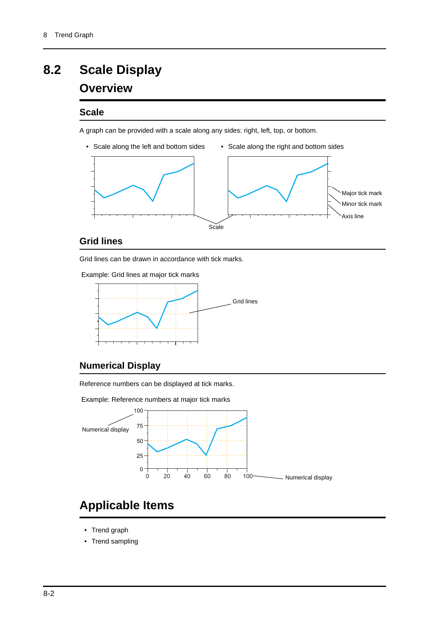## **8.2 Scale Display**

## **Overview**

### **Scale**

A graph can be provided with a scale along any sides: right, left, top, or bottom.



### **Grid lines**

Grid lines can be drawn in accordance with tick marks.

Example: Grid lines at major tick marks



### **Numerical Display**

Reference numbers can be displayed at tick marks.

Example: Reference numbers at major tick marks



## **Applicable Items**

- Trend graph
- Trend sampling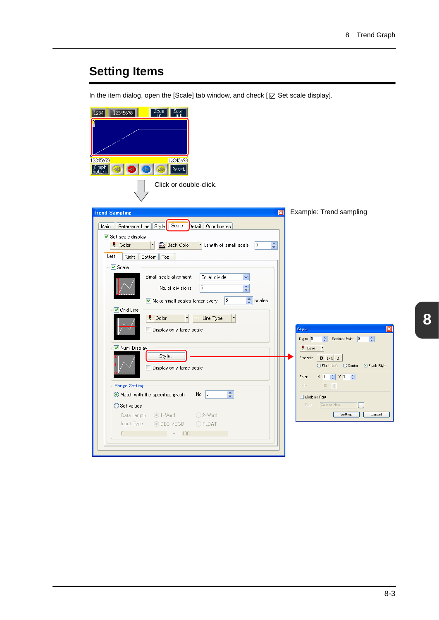# **Setting Items**

In the item dialog, open the [Scale] tab window, and check [ $\boxtimes$  Set scale display].

| 2345678                                                                                      |                                                                                                                  |
|----------------------------------------------------------------------------------------------|------------------------------------------------------------------------------------------------------------------|
| 12345678<br>12345678                                                                         |                                                                                                                  |
| Graph<br>Return<br>Reset                                                                     |                                                                                                                  |
| Click or double-click.                                                                       |                                                                                                                  |
| <b>Trend Sampling</b><br>⊠                                                                   | Example: Trend sampling                                                                                          |
| Reference Line Style Scale<br>Detail Coordinates<br>Main                                     |                                                                                                                  |
| Set scale display                                                                            |                                                                                                                  |
| Length of small scale<br>5<br>Color<br><b>Back Color</b><br>$\frac{\lambda}{\nu}$            |                                                                                                                  |
| Left<br>Right<br>Bottom Top                                                                  |                                                                                                                  |
| V Scale                                                                                      |                                                                                                                  |
| Small scale alignment<br>Equal divide<br>v                                                   |                                                                                                                  |
| 5<br>$\frac{\lambda}{\nu}$<br>No. of divisions                                               |                                                                                                                  |
| 15<br>the scales.<br>Make small scales larger every                                          |                                                                                                                  |
| <b>√</b> Grid Line<br>$\bullet$ Color<br>---- Line Type                                      |                                                                                                                  |
| Display only large scale                                                                     | Style                                                                                                            |
|                                                                                              | Digits 5<br>Decimal Point 0<br>$\div$<br>$\div$                                                                  |
| V Num. Display                                                                               | $\vert \cdot \vert$<br><b>Color</b>                                                                              |
| Style                                                                                        | $B \mid 1/4 \mid I$<br>Property                                                                                  |
| Display only large scale<br>m                                                                | ○ Flush Left ○ Center<br>⊙ Flush Right                                                                           |
|                                                                                              | $\times$ 1<br>$\left  \begin{array}{c c} \hline \downarrow & \vee & 1 & \downarrow \end{array} \right $<br>Enlar |
| <b>Range Setting</b><br>$\frac{\lambda}{\nu}$<br>No. $ 0 $<br>Match with the specified graph | Point.<br>12                                                                                                     |
| ◯ Set values                                                                                 | Windows Font<br>Courier New<br>Font                                                                              |
| Data Length<br>⊙1-Word<br>○2-Word                                                            | <b>Setting</b><br>Cancel                                                                                         |
| Input Type<br>⊙ DEC-/BCD<br>OFLOAT                                                           |                                                                                                                  |
| 0<br>100                                                                                     |                                                                                                                  |
|                                                                                              |                                                                                                                  |
|                                                                                              |                                                                                                                  |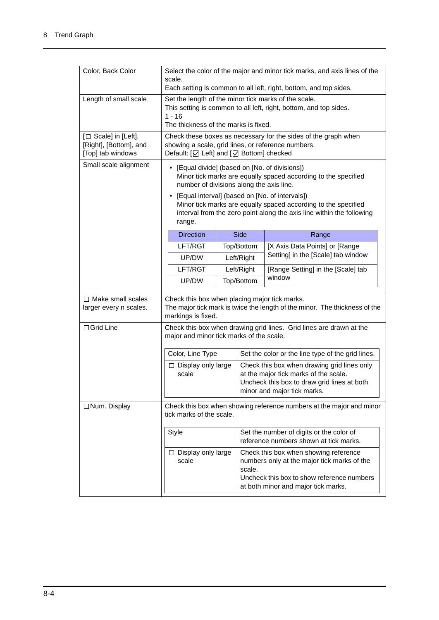| Color, Back Color                                                   | Select the color of the major and minor tick marks, and axis lines of the<br>scale.                                                                                                                                                                                                                                                                                   |  |                                                                                                                                                                                     |                                                   |  |
|---------------------------------------------------------------------|-----------------------------------------------------------------------------------------------------------------------------------------------------------------------------------------------------------------------------------------------------------------------------------------------------------------------------------------------------------------------|--|-------------------------------------------------------------------------------------------------------------------------------------------------------------------------------------|---------------------------------------------------|--|
|                                                                     | Each setting is common to all left, right, bottom, and top sides.                                                                                                                                                                                                                                                                                                     |  |                                                                                                                                                                                     |                                                   |  |
| Length of small scale                                               | Set the length of the minor tick marks of the scale.<br>This setting is common to all left, right, bottom, and top sides.<br>$1 - 16$                                                                                                                                                                                                                                 |  |                                                                                                                                                                                     |                                                   |  |
|                                                                     | The thickness of the marks is fixed.                                                                                                                                                                                                                                                                                                                                  |  |                                                                                                                                                                                     |                                                   |  |
| [□ Scale] in [Left],<br>[Right], [Bottom], and<br>[Top] tab windows | Check these boxes as necessary for the sides of the graph when<br>showing a scale, grid lines, or reference numbers.<br>Default: [☑ Left] and [☑ Bottom] checked                                                                                                                                                                                                      |  |                                                                                                                                                                                     |                                                   |  |
| Small scale alignment                                               | • [Equal divide] (based on [No. of divisions])<br>Minor tick marks are equally spaced according to the specified<br>number of divisions along the axis line.<br>• [Equal interval] (based on [No. of intervals])<br>Minor tick marks are equally spaced according to the specified<br>interval from the zero point along the axis line within the following<br>range. |  |                                                                                                                                                                                     |                                                   |  |
|                                                                     |                                                                                                                                                                                                                                                                                                                                                                       |  |                                                                                                                                                                                     |                                                   |  |
|                                                                     | <b>Direction</b>                                                                                                                                                                                                                                                                                                                                                      |  | Side                                                                                                                                                                                | Range                                             |  |
|                                                                     | LFT/RGT                                                                                                                                                                                                                                                                                                                                                               |  | Top/Bottom                                                                                                                                                                          | [X Axis Data Points] or [Range                    |  |
|                                                                     | UP/DW                                                                                                                                                                                                                                                                                                                                                                 |  | Left/Right                                                                                                                                                                          | Setting] in the [Scale] tab window                |  |
|                                                                     | LFT/RGT                                                                                                                                                                                                                                                                                                                                                               |  | Left/Right                                                                                                                                                                          | [Range Setting] in the [Scale] tab                |  |
|                                                                     | UP/DW                                                                                                                                                                                                                                                                                                                                                                 |  | Top/Bottom                                                                                                                                                                          | window                                            |  |
| $\Box$ Make small scales<br>larger every n scales.                  | Check this box when placing major tick marks.<br>The major tick mark is twice the length of the minor. The thickness of the<br>markings is fixed.                                                                                                                                                                                                                     |  |                                                                                                                                                                                     |                                                   |  |
| $\Box$ Grid Line                                                    | Check this box when drawing grid lines. Grid lines are drawn at the<br>major and minor tick marks of the scale.                                                                                                                                                                                                                                                       |  |                                                                                                                                                                                     |                                                   |  |
|                                                                     | Color, Line Type                                                                                                                                                                                                                                                                                                                                                      |  |                                                                                                                                                                                     | Set the color or the line type of the grid lines. |  |
|                                                                     | $\square$ Display only large<br>scale                                                                                                                                                                                                                                                                                                                                 |  | Check this box when drawing grid lines only<br>at the major tick marks of the scale.<br>Uncheck this box to draw grid lines at both<br>minor and major tick marks.                  |                                                   |  |
| □ Num. Display                                                      | Check this box when showing reference numbers at the major and minor<br>tick marks of the scale.                                                                                                                                                                                                                                                                      |  |                                                                                                                                                                                     |                                                   |  |
|                                                                     | Style                                                                                                                                                                                                                                                                                                                                                                 |  | Set the number of digits or the color of<br>reference numbers shown at tick marks.                                                                                                  |                                                   |  |
| $\square$ Display only large<br>scale                               |                                                                                                                                                                                                                                                                                                                                                                       |  | Check this box when showing reference<br>numbers only at the major tick marks of the<br>scale.<br>Uncheck this box to show reference numbers<br>at both minor and major tick marks. |                                                   |  |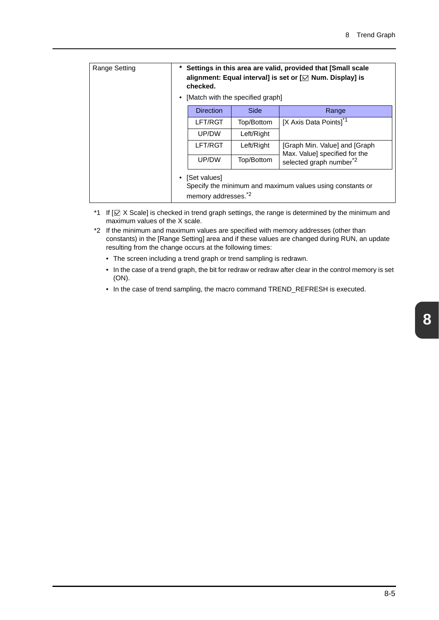| Range Setting | *<br>٠ | Settings in this area are valid, provided that [Small scale<br>alignment: Equal interval] is set or $[\sqrt{ }$ Num. Display] is<br>checked.<br>[Match with the specified graph] |            |                                                                 |  |  |  |
|---------------|--------|----------------------------------------------------------------------------------------------------------------------------------------------------------------------------------|------------|-----------------------------------------------------------------|--|--|--|
|               |        | <b>Direction</b>                                                                                                                                                                 | Side       | Range                                                           |  |  |  |
|               |        | LFT/RGT                                                                                                                                                                          | Top/Bottom | [X Axis Data Points] <sup>*1</sup>                              |  |  |  |
|               |        | UP/DW                                                                                                                                                                            | Left/Right |                                                                 |  |  |  |
|               |        | LFT/RGT                                                                                                                                                                          | Left/Right | [Graph Min. Value] and [Graph]<br>Max. Value] specified for the |  |  |  |
|               |        | UP/DW                                                                                                                                                                            | Top/Bottom | selected graph number <sup>*2</sup>                             |  |  |  |
|               |        | • [Set values]<br>Specify the minimum and maximum values using constants or<br>memory addresses. <sup>*2</sup>                                                                   |            |                                                                 |  |  |  |

- \*1 If  $[\Box \times \Diamond$  Scale] is checked in trend graph settings, the range is determined by the minimum and maximum values of the X scale.
- \*2 If the minimum and maximum values are specified with memory addresses (other than constants) in the [Range Setting] area and if these values are changed during RUN, an update resulting from the change occurs at the following times:
	- The screen including a trend graph or trend sampling is redrawn.
	- In the case of a trend graph, the bit for redraw or redraw after clear in the control memory is set (ON).
	- In the case of trend sampling, the macro command TREND\_REFRESH is executed.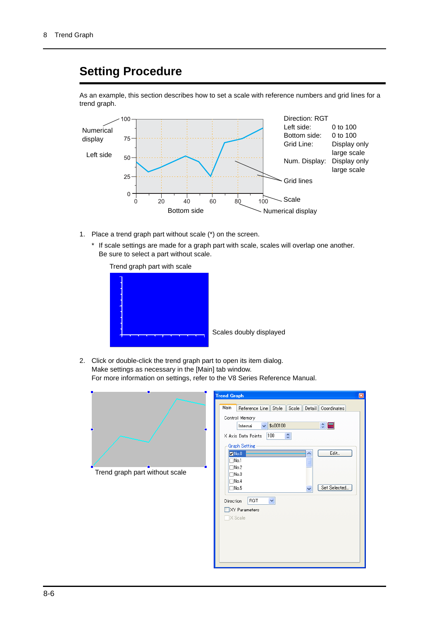### **Setting Procedure**

As an example, this section describes how to set a scale with reference numbers and grid lines for a trend graph.



- 1. Place a trend graph part without scale (\*) on the screen.
	- \* If scale settings are made for a graph part with scale, scales will overlap one another. Be sure to select a part without scale.



Scales doubly displayed

2. Click or double-click the trend graph part to open its item dialog. Make settings as necessary in the [Main] tab window. For more information on settings, refer to the V8 Series Reference Manual.